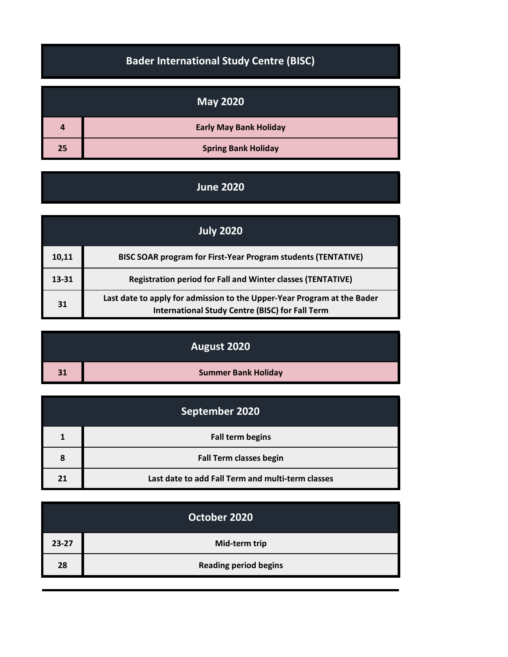|    | <b>May 2020</b>               |
|----|-------------------------------|
| 4  | <b>Early May Bank Holiday</b> |
| 25 | <b>Spring Bank Holiday</b>    |

**Bader International Study Centre (BISC)**

## **June 2020**

|       | <b>July 2020</b>                                                                                                                  |
|-------|-----------------------------------------------------------------------------------------------------------------------------------|
| 10,11 | <b>BISC SOAR program for First-Year Program students (TENTATIVE)</b>                                                              |
| 13-31 | <b>Registration period for Fall and Winter classes (TENTATIVE)</b>                                                                |
| 31    | Last date to apply for admission to the Upper-Year Program at the Bader<br><b>International Study Centre (BISC) for Fall Term</b> |

|    | August 2020                |
|----|----------------------------|
| 31 | <b>Summer Bank Holiday</b> |

| September 2020 |                                                   |
|----------------|---------------------------------------------------|
|                | <b>Fall term begins</b>                           |
| 8              | <b>Fall Term classes begin</b>                    |
| 21             | Last date to add Fall Term and multi-term classes |

|           | October 2020                 |
|-----------|------------------------------|
| $23 - 27$ | Mid-term trip                |
| 28        | <b>Reading period begins</b> |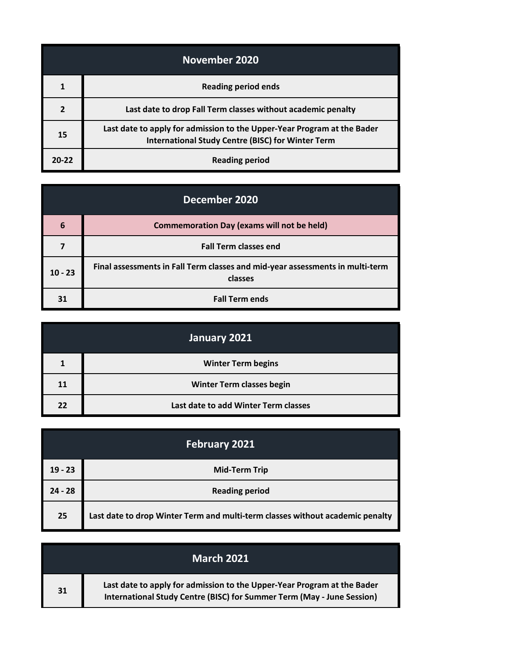| November 2020 |                                                                                                                                     |
|---------------|-------------------------------------------------------------------------------------------------------------------------------------|
|               | <b>Reading period ends</b>                                                                                                          |
|               | Last date to drop Fall Term classes without academic penalty                                                                        |
| 15            | Last date to apply for admission to the Upper-Year Program at the Bader<br><b>International Study Centre (BISC) for Winter Term</b> |
| $20 - 22$     | <b>Reading period</b>                                                                                                               |

| December 2020 |                                                                                          |
|---------------|------------------------------------------------------------------------------------------|
| 6             | <b>Commemoration Day (exams will not be held)</b>                                        |
|               | <b>Fall Term classes end</b>                                                             |
| $10 - 23$     | Final assessments in Fall Term classes and mid-year assessments in multi-term<br>classes |
| 31            | <b>Fall Term ends</b>                                                                    |

|    | January 2021                         |
|----|--------------------------------------|
|    | <b>Winter Term begins</b>            |
| 11 | <b>Winter Term classes begin</b>     |
| 22 | Last date to add Winter Term classes |

| <b>February 2021</b> |                                                                               |
|----------------------|-------------------------------------------------------------------------------|
| $19 - 23$            | <b>Mid-Term Trip</b>                                                          |
| $24 - 28$            | <b>Reading period</b>                                                         |
| 25                   | Last date to drop Winter Term and multi-term classes without academic penalty |

|    | <b>March 2021</b>                                                                                                                                 |
|----|---------------------------------------------------------------------------------------------------------------------------------------------------|
| 31 | Last date to apply for admission to the Upper-Year Program at the Bader<br>International Study Centre (BISC) for Summer Term (May - June Session) |